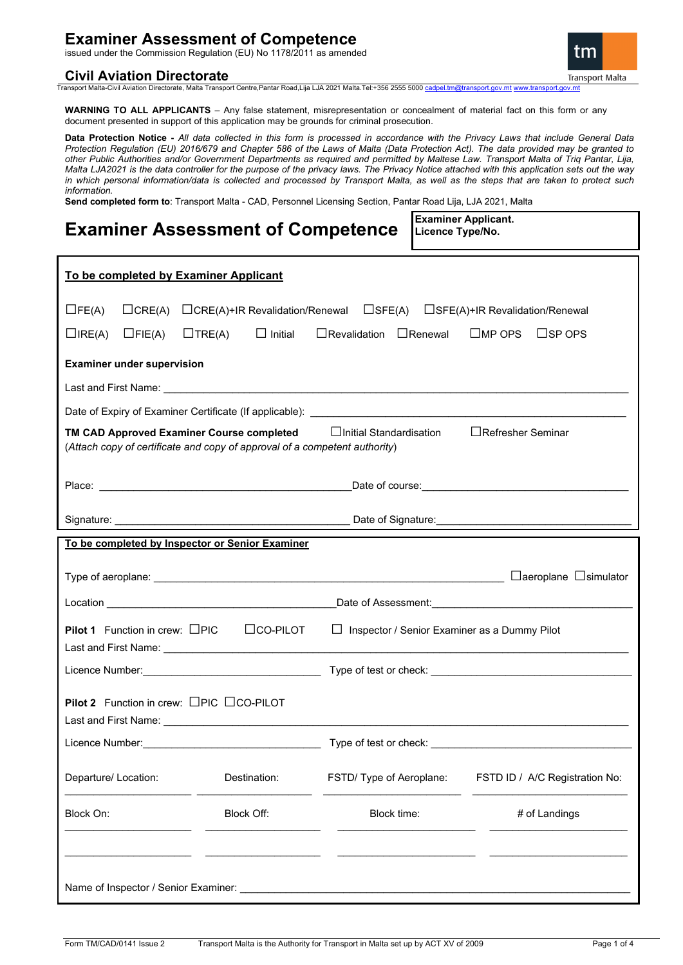## **Examiner Assessment of Competence**

issued under the Commission Regulation (EU) No 1178/2011 as amended

## **Civil Aviation Directorate**



Transport Malta-Civil Aviation Directorate, Malta Transport Centre,Pantar Road,Lija LJA 2021 Malta.Tel:+356 2555 5000 [cadpel.tm@transport.gov.mt](mailto:cadpel.tm@transport.gov.mt) [www.transport.gov.mt](http://www.transport.gov.mt/)

**WARNING TO ALL APPLICANTS** – Any false statement, misrepresentation or concealment of material fact on this form or any document presented in support of this application may be grounds for criminal prosecution.

**Data Protection Notice -** *All data collected in this form is processed in accordance with the Privacy Laws that include General Data Protection Regulation (EU) 2016/679 and Chapter 586 of the Laws of Malta (Data Protection Act). The data provided may be granted to other Public Authorities and/or Government Departments as required and permitted by Maltese Law. Transport Malta of Triq Pantar, Lija, Malta LJA2021 is the data controller for the purpose of the privacy laws. The Privacy Notice attached with this application sets out the way in which personal information/data is collected and processed by Transport Malta, as well as the steps that are taken to protect such information.*

**Examiner Applicant.**

**Send completed form to**: Transport Malta - CAD, Personnel Licensing Section, Pantar Road Lija, LJA 2021, Malta

| <b>Examiner Assessment of Competence</b>                                                                                                                                                                                                                                | Launingi Applicant.<br>Licence Type/No. |                          |                                |  |  |
|-------------------------------------------------------------------------------------------------------------------------------------------------------------------------------------------------------------------------------------------------------------------------|-----------------------------------------|--------------------------|--------------------------------|--|--|
| To be completed by Examiner Applicant                                                                                                                                                                                                                                   |                                         |                          |                                |  |  |
| $\Box$ CRE(A) $\Box$ CRE(A)+IR Revalidation/Renewal $\Box$ SFE(A) $\Box$ SFE(A)+IR Revalidation/Renewal<br>$\Box$ FE(A)<br>$\Box$ TRE(A) $\Box$ Initial<br>$\Box$ Revalidation $\Box$ Renewal<br>$\square$ MP OPS<br>$\square$ SP OPS<br>$\Box$ IRE(A)<br>$\Box$ FIE(A) |                                         |                          |                                |  |  |
| <b>Examiner under supervision</b>                                                                                                                                                                                                                                       |                                         |                          |                                |  |  |
|                                                                                                                                                                                                                                                                         |                                         |                          |                                |  |  |
|                                                                                                                                                                                                                                                                         |                                         |                          |                                |  |  |
| □Refresher Seminar<br>TM CAD Approved Examiner Course completed □ □ Initial Standardisation<br>(Attach copy of certificate and copy of approval of a competent authority)                                                                                               |                                         |                          |                                |  |  |
|                                                                                                                                                                                                                                                                         |                                         |                          |                                |  |  |
|                                                                                                                                                                                                                                                                         |                                         |                          |                                |  |  |
| To be completed by Inspector or Senior Examiner                                                                                                                                                                                                                         |                                         |                          |                                |  |  |
|                                                                                                                                                                                                                                                                         |                                         |                          |                                |  |  |
|                                                                                                                                                                                                                                                                         |                                         |                          |                                |  |  |
| <b>Pilot 1</b> Function in crew: $\Box$ PIC $\Box$ CO-PILOT<br>$\Box$ Inspector / Senior Examiner as a Dummy Pilot                                                                                                                                                      |                                         |                          |                                |  |  |
|                                                                                                                                                                                                                                                                         |                                         |                          |                                |  |  |
| <b>Pilot 2</b> Function in crew: $\Box$ PIC $\Box$ CO-PILOT                                                                                                                                                                                                             |                                         |                          |                                |  |  |
| Licence Number:                                                                                                                                                                                                                                                         |                                         | Type of test or check:   |                                |  |  |
| Departure/ Location:                                                                                                                                                                                                                                                    | Destination:                            | FSTD/ Type of Aeroplane: | FSTD ID / A/C Registration No: |  |  |
| Block On:                                                                                                                                                                                                                                                               | Block Off:                              | Block time:              | # of Landings                  |  |  |
|                                                                                                                                                                                                                                                                         |                                         |                          |                                |  |  |
|                                                                                                                                                                                                                                                                         |                                         |                          |                                |  |  |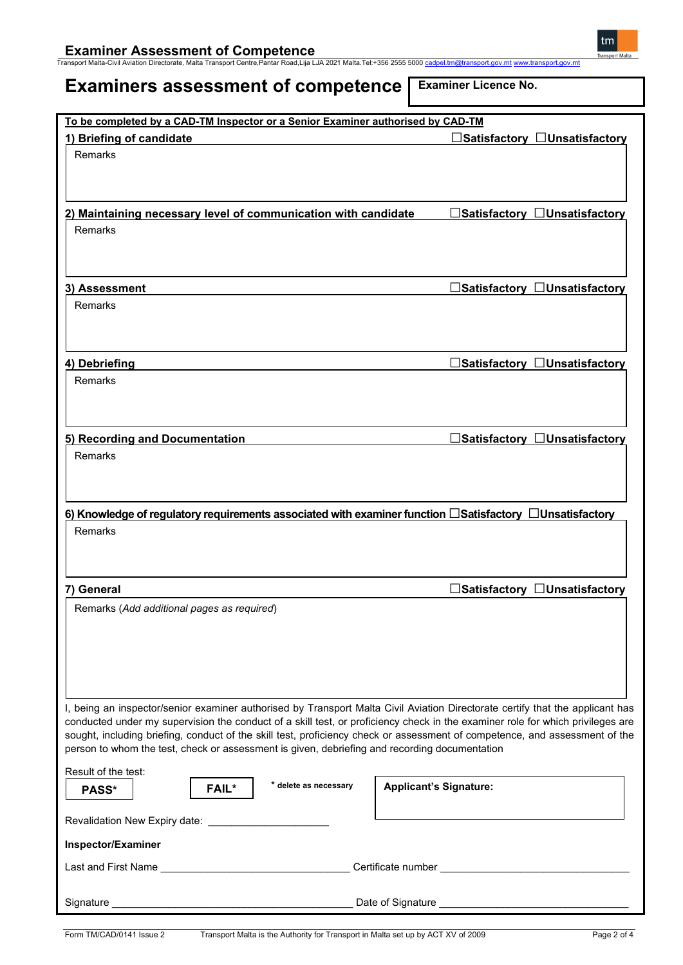**Examiner Assessment of Competence** Transport Malta-Civil Aviation Directorate, Malta Transport Centre,Pantar Road,Lija LJA 2021 Malta.Tel:+356 2555 5000 [cadpel.tm@transport.gov.mt](mailto:cadpel.tm@transport.gov.mt) [www.transport.gov.mt](http://www.transport.gov.mt/)

# **Examiners assessment of competence**

**Examiner Licence No.**

| To be completed by a CAD-TM Inspector or a Senior Examiner authorised by CAD-TM                                                                                                                                                                               |                                           |  |  |  |
|---------------------------------------------------------------------------------------------------------------------------------------------------------------------------------------------------------------------------------------------------------------|-------------------------------------------|--|--|--|
| 1) Briefing of candidate                                                                                                                                                                                                                                      | $\Box$ Satisfactory $\Box$ Unsatisfactory |  |  |  |
| Remarks                                                                                                                                                                                                                                                       |                                           |  |  |  |
|                                                                                                                                                                                                                                                               |                                           |  |  |  |
|                                                                                                                                                                                                                                                               |                                           |  |  |  |
| 2) Maintaining necessary level of communication with candidate                                                                                                                                                                                                | □Satisfactory □Unsatisfactory             |  |  |  |
| Remarks                                                                                                                                                                                                                                                       |                                           |  |  |  |
|                                                                                                                                                                                                                                                               |                                           |  |  |  |
|                                                                                                                                                                                                                                                               |                                           |  |  |  |
| 3) Assessment                                                                                                                                                                                                                                                 | $\Box$ Satisfactory $\Box$ Unsatisfactory |  |  |  |
| Remarks                                                                                                                                                                                                                                                       |                                           |  |  |  |
|                                                                                                                                                                                                                                                               |                                           |  |  |  |
|                                                                                                                                                                                                                                                               |                                           |  |  |  |
| 4) Debriefing                                                                                                                                                                                                                                                 | ∃Satisfactory $\Box$ Unsatisfactory       |  |  |  |
| Remarks                                                                                                                                                                                                                                                       |                                           |  |  |  |
|                                                                                                                                                                                                                                                               |                                           |  |  |  |
|                                                                                                                                                                                                                                                               |                                           |  |  |  |
| 5) Recording and Documentation                                                                                                                                                                                                                                | $\Box$ Satisfactory $\Box$ Unsatisfactory |  |  |  |
| Remarks                                                                                                                                                                                                                                                       |                                           |  |  |  |
|                                                                                                                                                                                                                                                               |                                           |  |  |  |
|                                                                                                                                                                                                                                                               |                                           |  |  |  |
| 6) Knowledge of regulatory requirements associated with examiner function $\Box$ Satisfactory $\Box$ Unsatisfactory                                                                                                                                           |                                           |  |  |  |
| Remarks                                                                                                                                                                                                                                                       |                                           |  |  |  |
|                                                                                                                                                                                                                                                               |                                           |  |  |  |
|                                                                                                                                                                                                                                                               |                                           |  |  |  |
| 7) General                                                                                                                                                                                                                                                    | □Satisfactory □Unsatisfactory             |  |  |  |
| Remarks (Add additional pages as required)                                                                                                                                                                                                                    |                                           |  |  |  |
|                                                                                                                                                                                                                                                               |                                           |  |  |  |
|                                                                                                                                                                                                                                                               |                                           |  |  |  |
|                                                                                                                                                                                                                                                               |                                           |  |  |  |
|                                                                                                                                                                                                                                                               |                                           |  |  |  |
|                                                                                                                                                                                                                                                               |                                           |  |  |  |
| I, being an inspector/senior examiner authorised by Transport Malta Civil Aviation Directorate certify that the applicant has                                                                                                                                 |                                           |  |  |  |
| conducted under my supervision the conduct of a skill test, or proficiency check in the examiner role for which privileges are<br>sought, including briefing, conduct of the skill test, proficiency check or assessment of competence, and assessment of the |                                           |  |  |  |
| person to whom the test, check or assessment is given, debriefing and recording documentation                                                                                                                                                                 |                                           |  |  |  |
| Result of the test:                                                                                                                                                                                                                                           |                                           |  |  |  |
| * delete as necessary<br><b>FAIL*</b><br>PASS*                                                                                                                                                                                                                | <b>Applicant's Signature:</b>             |  |  |  |
|                                                                                                                                                                                                                                                               |                                           |  |  |  |
|                                                                                                                                                                                                                                                               |                                           |  |  |  |
| Inspector/Examiner                                                                                                                                                                                                                                            |                                           |  |  |  |
|                                                                                                                                                                                                                                                               |                                           |  |  |  |
|                                                                                                                                                                                                                                                               |                                           |  |  |  |
|                                                                                                                                                                                                                                                               |                                           |  |  |  |
|                                                                                                                                                                                                                                                               |                                           |  |  |  |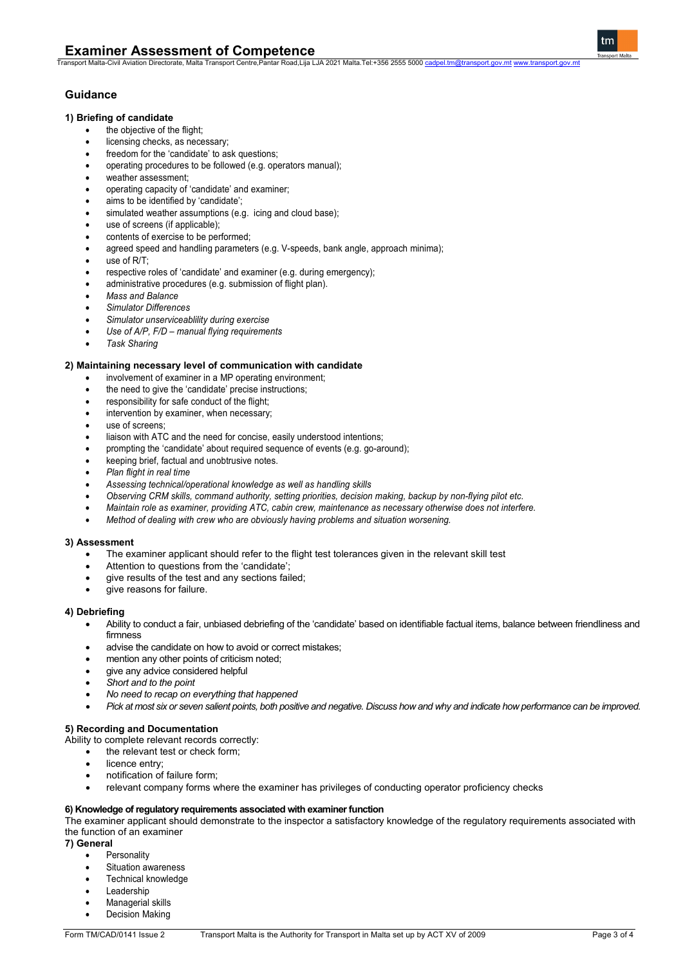### **1) Briefing of candidate**

- the objective of the flight;
- licensing checks, as necessary;
- freedom for the 'candidate' to ask questions;
- operating procedures to be followed (e.g. operators manual);
- weather assessment;
- operating capacity of 'candidate' and examiner;
- aims to be identified by 'candidate';
- simulated weather assumptions (e.g. icing and cloud base);
- use of screens (if applicable);
- contents of exercise to be performed;
- agreed speed and handling parameters (e.g. V-speeds, bank angle, approach minima);
- use of  $R/T$ :
- respective roles of 'candidate' and examiner (e.g. during emergency);
- administrative procedures (e.g. submission of flight plan).
- *Mass and Balance*
- *Simulator Differences*
- *Simulator unserviceablility during exercise*
- *Use of A/P, F/D – manual flying requirements*
- *Task Sharing*

#### **2) Maintaining necessary level of communication with candidate**

- involvement of examiner in a MP operating environment;
- the need to give the 'candidate' precise instructions;
- responsibility for safe conduct of the flight;
- intervention by examiner, when necessary;
- use of screens;
- liaison with ATC and the need for concise, easily understood intentions;
- prompting the 'candidate' about required sequence of events (e.g. go-around);
- keeping brief, factual and unobtrusive notes.
- *Plan flight in real time*
- *Assessing technical/operational knowledge as well as handling skills*
- *Observing CRM skills, command authority, setting priorities, decision making, backup by non-flying pilot etc.*
- *Maintain role as examiner, providing ATC, cabin crew, maintenance as necessary otherwise does not interfere.*
- *Method of dealing with crew who are obviously having problems and situation worsening.*

#### **3) Assessment**

- The examiner applicant should refer to the flight test tolerances given in the relevant skill test
- Attention to questions from the 'candidate';
- give results of the test and any sections failed;
- give reasons for failure.

#### **4) Debriefing**

- Ability to conduct a fair, unbiased debriefing of the 'candidate' based on identifiable factual items, balance between friendliness and firmness
- advise the candidate on how to avoid or correct mistakes;
- mention any other points of criticism noted;
- give any advice considered helpful
- *Short and to the point*
- *No need to recap on everything that happened*
- *Pick at most six or seven salient points, both positive and negative. Discuss how and why and indicate how performance can be improved.*

## **5) Recording and Documentation**

Ability to complete relevant records correctly:

- the relevant test or check form;
- licence entry;
- notification of failure form;
- relevant company forms where the examiner has privileges of conducting operator proficiency checks

#### **6) Knowledge of regulatory requirements associated with examiner function**

The examiner applicant should demonstrate to the inspector a satisfactory knowledge of the regulatory requirements associated with the function of an examiner

#### **7) General**

- **Personality**
- Situation awareness
- Technical knowledge
- **Leadership**
- Managerial skills
- Decision Making